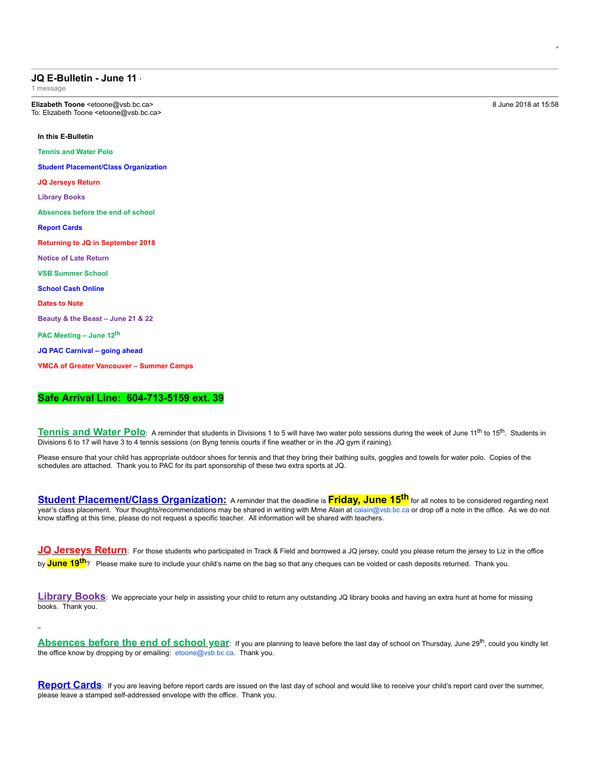## **JQ E-Bulletin - June 11**

1 message

**Elizabeth Toone** <etoone@vsb.bc.ca> 8 June 2018 at 15:58 To: Elizabeth Toone <etoone@vsb.bc.ca>

## **In this E-Bulletin**

**Tennis and Water Polo**

**Student Placement/Class Organization**

**JQ Jerseys Return**

**Library Books**

**Absences before the end of school**

**Report Cards**

**Returning to JQ in September 2018**

**Notice of Late Return**

**VSB Summer School**

**School Cash Online**

**Dates to Note**

**Beauty & the Beast – June 21 & 22**

**PAC Meeting – June 12th**

**JQ PAC Carnival – going ahead**

**YMCA of Greater Vancouver – Summer Camps**

## **Safe Arrival Line: 6047135159 ext. 39**

Tennis and Water Polo: A reminder that students in Divisions 1 to 5 will have two water polo sessions during the week of June 11<sup>th</sup> to 15<sup>th</sup>. Students in Divisions 6 to 17 will have 3 to 4 tennis sessions (on Byng tennis courts if fine weather or in the JQ gym if raining).

Please ensure that your child has appropriate outdoor shoes for tennis and that they bring their bathing suits, goggles and towels for water polo. Copies of the schedules are attached. Thank you to PAC for its part sponsorship of these two extra sports at JQ.

**Student Placement/Class Organization:** A reminder that the deadline is **Friday, June 15th** for all notes to be considered regarding next year's class placement. Your thoughts/recommendations may be shared in writing with Mme Alain at calain@vsb.bc.ca or drop off a note in the office. As we do not know staffing at this time, please do not request a specific teacher. All information will be shared with teachers.

**JQ** Jerseys Return: For those students who participated in Track & Field and borrowed a JQ jersey, could you please return the jersey to Liz in the office by **June 19th**? Please make sure to include your child's name on the bag so that any cheques can be voided or cash deposits returned. Thank you.

**Library Books**: We appreciate your help in assisting your child to return any outstanding JQ library books and having an extra hunt at home for missing books. Thank you.

**Absences before the end of school year**: If you are planning to leave before the last day of school on Thursday, June 29th, could you kindly let the office know by dropping by or emailing: etoone@vsb.bc.ca. Thank you.

**Report Cards**: If you are leaving before report cards are issued on the last day of school and would like to receive your child's report card over the summer, please leave a stamped self-addressed envelope with the office. Thank you.

**Lu Vo <luvanvo@gmail.com>**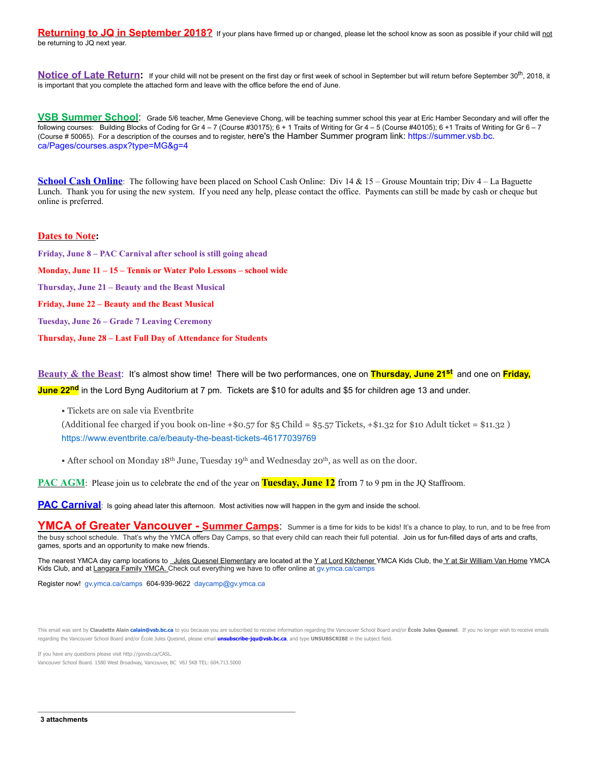**Returning to JQ in September 2018?** If your plans have firmed up or changed, please let the school know as soon as possible if your child will not be returning to JQ next year.

**Notice of Late Return:** If your child will not be present on the first day or first week of school in September but will return before September 30<sup>th</sup>, 2018, it is important that you complete the attached form and leave with the office before the end of June.

**VSB Summer School**: Grade 5/6 teacher, Mme Genevieve Chong, will be teaching summer school this year at Eric Hamber Secondary and will offer the following courses: Building Blocks of Coding for Gr 4 - 7 (Course #30175);  $6 + 1$  Traits of Writing for Gr 4 - 5 (Course #40105);  $6 + 1$  Traits of Writing for Gr 6 - 7 (Course # 50065). For a description of the courses and to register, here's the Hamber Summer program link: https://summer.vsb.bc. ca/Pages/courses.aspx?type=MG&g=4

**School Cash Online**: The following have been placed on School Cash Online: Div 14 & 15 – Grouse Mountain trip; Div 4 – La Baguette Lunch. Thank you for using the new system. If you need any help, please contact the office. Payments can still be made by cash or cheque but online is preferred.

## **Dates to Note:**

**Friday, June 8 – PAC Carnival after school is still going ahead Monday, June 11 – 15 – Tennis or Water Polo Lessons – school wide Thursday, June 21 – Beauty and the Beast Musical Friday, June 22 – Beauty and the Beast Musical Tuesday, June 26 – Grade 7 Leaving Ceremony**

**Thursday, June 28 – Last Full Day of Attendance for Students**

**Beauty & the Beast**: It's almost show time! There will be two performances, one on **Thursday, June 21st** and one on **Friday, June 22nd** in the Lord Byng Auditorium at 7 pm. Tickets are \$10 for adults and \$5 for children age 13 and under.

Tickets are on sale via Eventbrite

(Additional fee charged if you book on-line  $+$ \$0.57 for \$5 Child = \$5.57 Tickets,  $+$ \$1.32 for \$10 Adult ticket = \$11.32 ) https://www.eventbrite.ca/e/beauty-the-beast-tickets-46177039769

**After school on Monday 18th June, Tuesday 19th and Wednesday 20th, as well as on the door.** 

**PAC AGM**: Please join us to celebrate the end of the year on **Tuesday, June 12** from 7 to 9 pm in the JQ Staffroom.

**PAC Carnival**: Is going ahead later this afternoon. Most activities now will happen in the gym and inside the school.

**YMCA of Greater Vancouver Summer Camps**: Summer is a time for kids to be kids! It's a chance to play, to run, and to be free from the busy school schedule. That's why the YMCA offers Day Camps, so that every child can reach their full potential. Join us for fun-filled days of arts and crafts, games, sports and an opportunity to make new friends.

The nearest YMCA day camp locations to Jules Quesnel Elementary are located at the Y at Lord Kitchener YMCA Kids Club, the Y at Sir William Van Horne YMCA Kids Club, and at Langara Family YMCA. Check out everything we have to offer online at gv.ymca.ca/camps

Register now! gv.ymca.ca/camps 604-939-9622 daycamp@gv.ymca.ca

This email was sent by Claudette Alain calain@vsb.bc.ca to you because you are subscribed to receive information regarding the Vancouver School Board and/or École Jules Quesnel. If you no longer wish to receive emails regarding the Vancouver School Board and/or École Jules Quesnel, please email **unsubscribe-jqu@vsb.bc.ca**, and type **UNSUBSCRIBE** in the subject field.

If you have any questions please visit http://govsb.ca/CASL.

Vancouver School Board. 1580 West Broadway, Vancouver, BC V6J 5K8 TEL: 604.713.5000